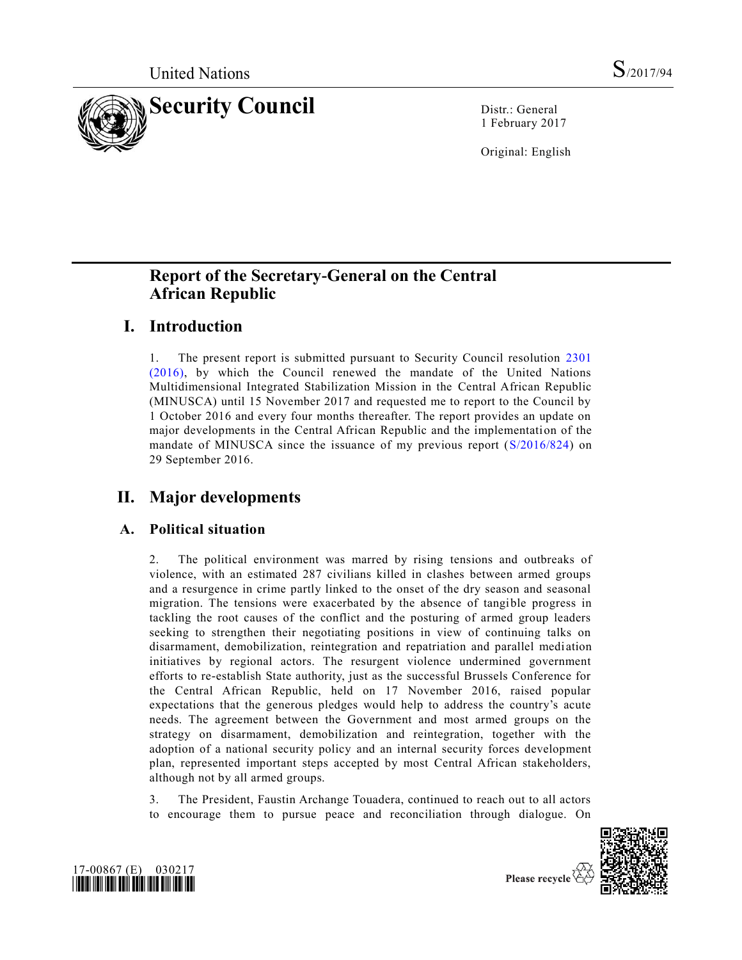

1 February 2017

Original: English

# **Report of the Secretary-General on the Central African Republic**

# **I. Introduction**

1. The present report is submitted pursuant to Security Council resolution [2301](http://undocs.org/S/RES/2301(2016))  [\(2016\),](http://undocs.org/S/RES/2301(2016)) by which the Council renewed the mandate of the United Nations Multidimensional Integrated Stabilization Mission in the Central African Republic (MINUSCA) until 15 November 2017 and requested me to report to the Council by 1 October 2016 and every four months thereafter. The report provides an update on major developments in the Central African Republic and the implementation of the mandate of MINUSCA since the issuance of my previous report [\(S/2016/824\)](http://undocs.org/S/2016/824) on 29 September 2016.

# **II. Major developments**

## **A. Political situation**

2. The political environment was marred by rising tensions and outbreaks of violence, with an estimated 287 civilians killed in clashes between armed groups and a resurgence in crime partly linked to the onset of the dry season and seasonal migration. The tensions were exacerbated by the absence of tangible progress in tackling the root causes of the conflict and the posturing of armed group leaders seeking to strengthen their negotiating positions in view of continuing talks on disarmament, demobilization, reintegration and repatriation and parallel medi ation initiatives by regional actors. The resurgent violence undermined government efforts to re-establish State authority, just as the successful Brussels Conference for the Central African Republic, held on 17 November 2016, raised popular expectations that the generous pledges would help to address the country's acute needs. The agreement between the Government and most armed groups on the strategy on disarmament, demobilization and reintegration, together with the adoption of a national security policy and an internal security forces development plan, represented important steps accepted by most Central African stakeholders, although not by all armed groups.

3. The President, Faustin Archange Touadera, continued to reach out to all actors to encourage them to pursue peace and reconciliation through dialogue. On





Please recycle  $\sqrt{ }$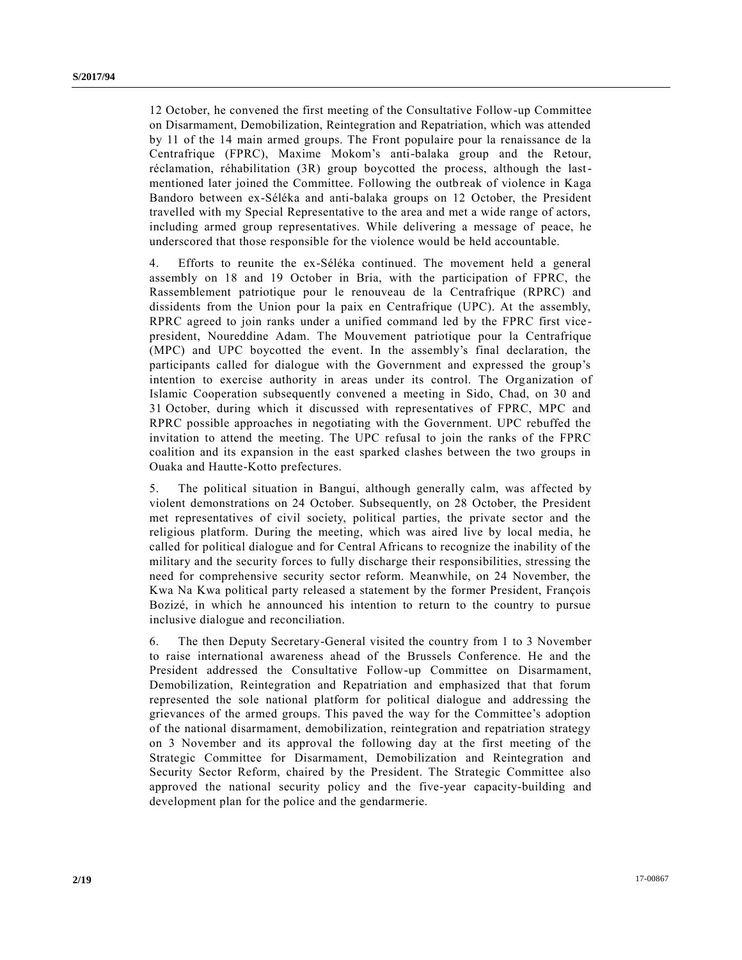12 October, he convened the first meeting of the Consultative Follow-up Committee on Disarmament, Demobilization, Reintegration and Repatriation, which was attended by 11 of the 14 main armed groups. The Front populaire pour la renaissance de la Centrafrique (FPRC), Maxime Mokom's anti-balaka group and the Retour, réclamation, réhabilitation (3R) group boycotted the process, although the lastmentioned later joined the Committee. Following the outbreak of violence in Kaga Bandoro between ex-Séléka and anti-balaka groups on 12 October, the President travelled with my Special Representative to the area and met a wide range of actors, including armed group representatives. While delivering a message of peace, he underscored that those responsible for the violence would be held accountable.

4. Efforts to reunite the ex-Séléka continued. The movement held a general assembly on 18 and 19 October in Bria, with the participation of FPRC, the Rassemblement patriotique pour le renouveau de la Centrafrique (RPRC) and dissidents from the Union pour la paix en Centrafrique (UPC). At the assembly, RPRC agreed to join ranks under a unified command led by the FPRC first vice president, Noureddine Adam. The Mouvement patriotique pour la Centrafrique (MPC) and UPC boycotted the event. In the assembly's final declaration, the participants called for dialogue with the Government and expressed the group's intention to exercise authority in areas under its control. The Organization of Islamic Cooperation subsequently convened a meeting in Sido, Chad, on 30 and 31 October, during which it discussed with representatives of FPRC, MPC and RPRC possible approaches in negotiating with the Government. UPC rebuffed the invitation to attend the meeting. The UPC refusal to join the ranks of the FPRC coalition and its expansion in the east sparked clashes between the two groups in Ouaka and Hautte-Kotto prefectures.

5. The political situation in Bangui, although generally calm, was affected by violent demonstrations on 24 October. Subsequently, on 28 October, the President met representatives of civil society, political parties, the private sector and the religious platform. During the meeting, which was aired live by local media, he called for political dialogue and for Central Africans to recognize the inability of the military and the security forces to fully discharge their responsibilities, stressing the need for comprehensive security sector reform. Meanwhile, on 24 November, the Kwa Na Kwa political party released a statement by the former President, François Bozizé, in which he announced his intention to return to the country to pursue inclusive dialogue and reconciliation.

6. The then Deputy Secretary-General visited the country from 1 to 3 November to raise international awareness ahead of the Brussels Conference. He and the President addressed the Consultative Follow-up Committee on Disarmament, Demobilization, Reintegration and Repatriation and emphasized that that forum represented the sole national platform for political dialogue and addressing the grievances of the armed groups. This paved the way for the Committee's adoption of the national disarmament, demobilization, reintegration and repatriation strategy on 3 November and its approval the following day at the first meeting of the Strategic Committee for Disarmament, Demobilization and Reintegration and Security Sector Reform, chaired by the President. The Strategic Committee also approved the national security policy and the five-year capacity-building and development plan for the police and the gendarmerie.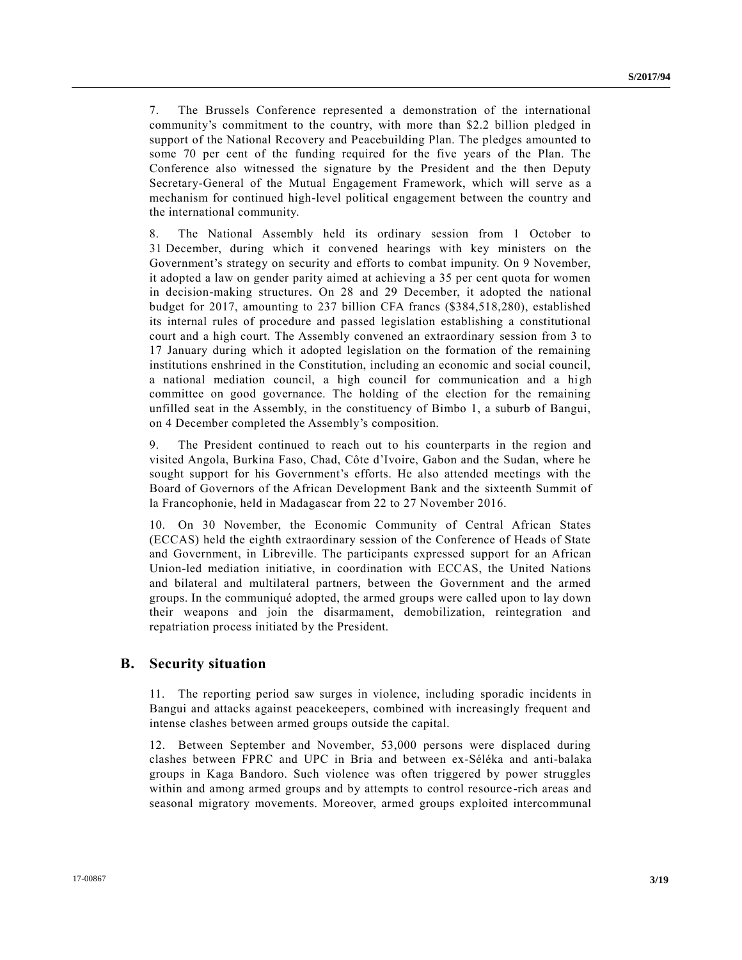7. The Brussels Conference represented a demonstration of the international community's commitment to the country, with more than \$2.2 billion pledged in support of the National Recovery and Peacebuilding Plan. The pledges amounted to some 70 per cent of the funding required for the five years of the Plan. The Conference also witnessed the signature by the President and the then Deputy Secretary-General of the Mutual Engagement Framework, which will serve as a mechanism for continued high-level political engagement between the country and the international community.

8. The National Assembly held its ordinary session from 1 October to 31 December, during which it convened hearings with key ministers on the Government's strategy on security and efforts to combat impunity. On 9 November, it adopted a law on gender parity aimed at achieving a 35 per cent quota for women in decision-making structures. On 28 and 29 December, it adopted the national budget for 2017, amounting to 237 billion CFA francs (\$384,518,280), established its internal rules of procedure and passed legislation establishing a constitutional court and a high court. The Assembly convened an extraordinary session from 3 to 17 January during which it adopted legislation on the formation of the remaining institutions enshrined in the Constitution, including an economic and social council, a national mediation council, a high council for communication and a high committee on good governance. The holding of the election for the remaining unfilled seat in the Assembly, in the constituency of Bimbo 1, a suburb of Bangui, on 4 December completed the Assembly's composition.

9. The President continued to reach out to his counterparts in the region and visited Angola, Burkina Faso, Chad, Côte d'Ivoire, Gabon and the Sudan, where he sought support for his Government's efforts. He also attended meetings with the Board of Governors of the African Development Bank and the sixteenth Summit of la Francophonie, held in Madagascar from 22 to 27 November 2016.

10. On 30 November, the Economic Community of Central African States (ECCAS) held the eighth extraordinary session of the Conference of Heads of State and Government, in Libreville. The participants expressed support for an African Union-led mediation initiative, in coordination with ECCAS, the United Nations and bilateral and multilateral partners, between the Government and the armed groups. In the communiqué adopted, the armed groups were called upon to lay down their weapons and join the disarmament, demobilization, reintegration and repatriation process initiated by the President.

### **B. Security situation**

11. The reporting period saw surges in violence, including sporadic incidents in Bangui and attacks against peacekeepers, combined with increasingly frequent and intense clashes between armed groups outside the capital.

12. Between September and November, 53,000 persons were displaced during clashes between FPRC and UPC in Bria and between ex-Séléka and anti-balaka groups in Kaga Bandoro. Such violence was often triggered by power struggles within and among armed groups and by attempts to control resource -rich areas and seasonal migratory movements. Moreover, armed groups exploited intercommunal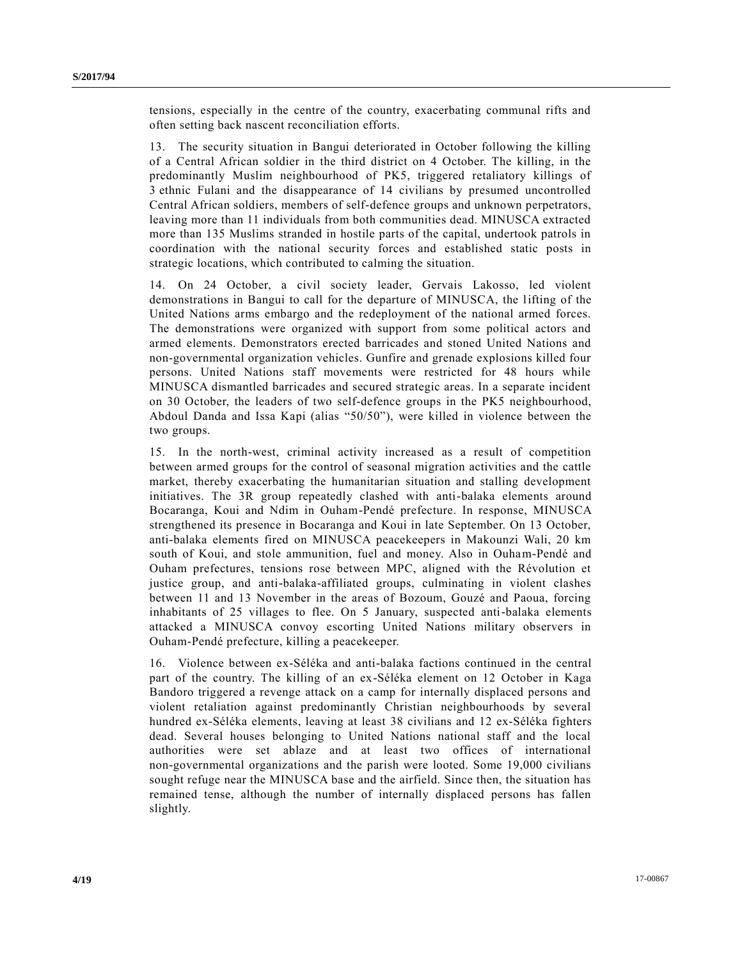tensions, especially in the centre of the country, exacerbating communal rifts and often setting back nascent reconciliation efforts.

13. The security situation in Bangui deteriorated in October following the killing of a Central African soldier in the third district on 4 October. The killing, in the predominantly Muslim neighbourhood of PK5, triggered retaliatory killings of 3 ethnic Fulani and the disappearance of 14 civilians by presumed uncontrolled Central African soldiers, members of self-defence groups and unknown perpetrators, leaving more than 11 individuals from both communities dead. MINUSCA extracted more than 135 Muslims stranded in hostile parts of the capital, undertook patrols in coordination with the national security forces and established static posts in strategic locations, which contributed to calming the situation.

14. On 24 October, a civil society leader, Gervais Lakosso, led violent demonstrations in Bangui to call for the departure of MINUSCA, the lifting of the United Nations arms embargo and the redeployment of the national armed forces. The demonstrations were organized with support from some political actors and armed elements. Demonstrators erected barricades and stoned United Nations and non-governmental organization vehicles. Gunfire and grenade explosions killed four persons. United Nations staff movements were restricted for 48 hours while MINUSCA dismantled barricades and secured strategic areas. In a separate incident on 30 October, the leaders of two self-defence groups in the PK5 neighbourhood, Abdoul Danda and Issa Kapi (alias "50/50"), were killed in violence between the two groups.

15. In the north-west, criminal activity increased as a result of competition between armed groups for the control of seasonal migration activities and the cattle market, thereby exacerbating the humanitarian situation and stalling development initiatives. The 3R group repeatedly clashed with anti-balaka elements around Bocaranga, Koui and Ndim in Ouham-Pendé prefecture. In response, MINUSCA strengthened its presence in Bocaranga and Koui in late September. On 13 October, anti-balaka elements fired on MINUSCA peacekeepers in Makounzi Wali, 20 km south of Koui, and stole ammunition, fuel and money. Also in Ouham-Pendé and Ouham prefectures, tensions rose between MPC, aligned with the Révolution et justice group, and anti-balaka-affiliated groups, culminating in violent clashes between 11 and 13 November in the areas of Bozoum, Gouzé and Paoua, forcing inhabitants of 25 villages to flee. On 5 January, suspected anti-balaka elements attacked a MINUSCA convoy escorting United Nations military observers in Ouham-Pendé prefecture, killing a peacekeeper.

16. Violence between ex-Séléka and anti-balaka factions continued in the central part of the country. The killing of an ex-Séléka element on 12 October in Kaga Bandoro triggered a revenge attack on a camp for internally displaced persons and violent retaliation against predominantly Christian neighbourhoods by several hundred ex-Séléka elements, leaving at least 38 civilians and 12 ex-Séléka fighters dead. Several houses belonging to United Nations national staff and the local authorities were set ablaze and at least two offices of international non-governmental organizations and the parish were looted. Some 19,000 civilians sought refuge near the MINUSCA base and the airfield. Since then, the situation has remained tense, although the number of internally displaced persons has fallen slightly.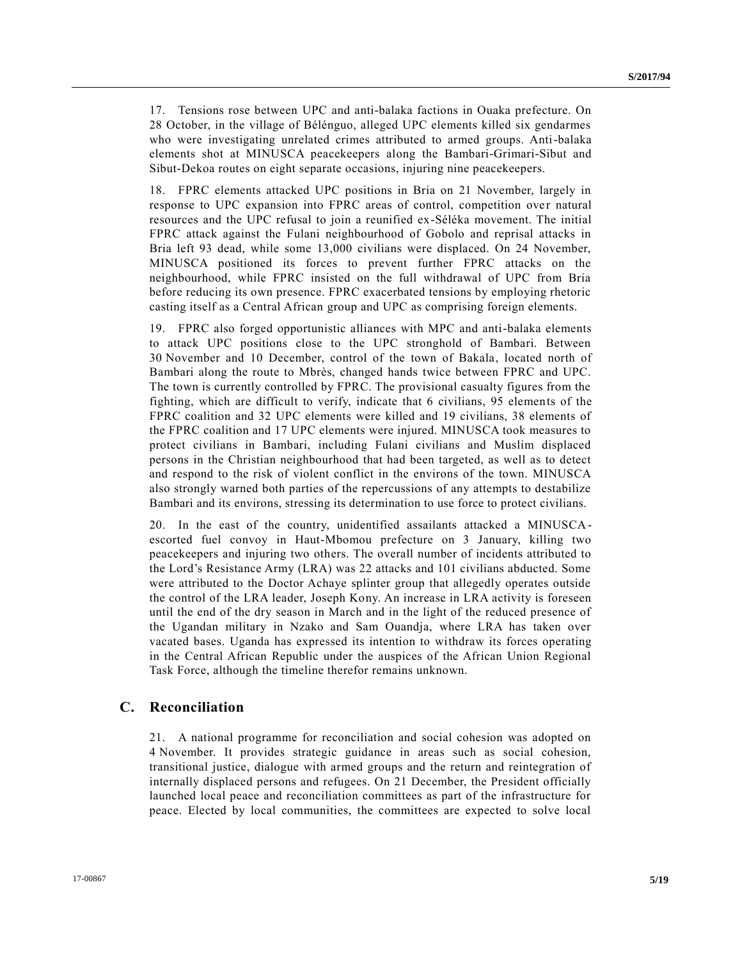17. Tensions rose between UPC and anti-balaka factions in Ouaka prefecture. On 28 October, in the village of Bélénguo, alleged UPC elements killed six gendarmes who were investigating unrelated crimes attributed to armed groups. Anti-balaka elements shot at MINUSCA peacekeepers along the Bambari-Grimari-Sibut and Sibut-Dekoa routes on eight separate occasions, injuring nine peacekeepers.

18. FPRC elements attacked UPC positions in Bria on 21 November, largely in response to UPC expansion into FPRC areas of control, competition over natural resources and the UPC refusal to join a reunified ex-Séléka movement. The initial FPRC attack against the Fulani neighbourhood of Gobolo and reprisal attacks in Bria left 93 dead, while some 13,000 civilians were displaced. On 24 November, MINUSCA positioned its forces to prevent further FPRC attacks on the neighbourhood, while FPRC insisted on the full withdrawal of UPC from Bria before reducing its own presence. FPRC exacerbated tensions by employing rhetoric casting itself as a Central African group and UPC as comprising foreign elements.

19. FPRC also forged opportunistic alliances with MPC and anti-balaka elements to attack UPC positions close to the UPC stronghold of Bambari. Between 30 November and 10 December, control of the town of Bakala, located north of Bambari along the route to Mbrès, changed hands twice between FPRC and UPC. The town is currently controlled by FPRC. The provisional casualty figures from the fighting, which are difficult to verify, indicate that 6 civilians, 95 elements of the FPRC coalition and 32 UPC elements were killed and 19 civilians, 38 elements of the FPRC coalition and 17 UPC elements were injured. MINUSCA took measures to protect civilians in Bambari, including Fulani civilians and Muslim displaced persons in the Christian neighbourhood that had been targeted, as well as to detect and respond to the risk of violent conflict in the environs of the town. MINUSCA also strongly warned both parties of the repercussions of any attempts to destabilize Bambari and its environs, stressing its determination to use force to protect civilians.

20. In the east of the country, unidentified assailants attacked a MINUSCAescorted fuel convoy in Haut-Mbomou prefecture on 3 January, killing two peacekeepers and injuring two others. The overall number of incidents attributed to the Lord's Resistance Army (LRA) was 22 attacks and 101 civilians abducted. Some were attributed to the Doctor Achaye splinter group that allegedly operates outside the control of the LRA leader, Joseph Kony. An increase in LRA activity is foreseen until the end of the dry season in March and in the light of the reduced presence of the Ugandan military in Nzako and Sam Ouandja, where LRA has taken over vacated bases. Uganda has expressed its intention to withdraw its forces operating in the Central African Republic under the auspices of the African Union Regional Task Force, although the timeline therefor remains unknown.

### **C. Reconciliation**

21. A national programme for reconciliation and social cohesion was adopted on 4 November. It provides strategic guidance in areas such as social cohesion, transitional justice, dialogue with armed groups and the return and reintegration of internally displaced persons and refugees. On 21 December, the President officially launched local peace and reconciliation committees as part of the infrastructure for peace. Elected by local communities, the committees are expected to solve local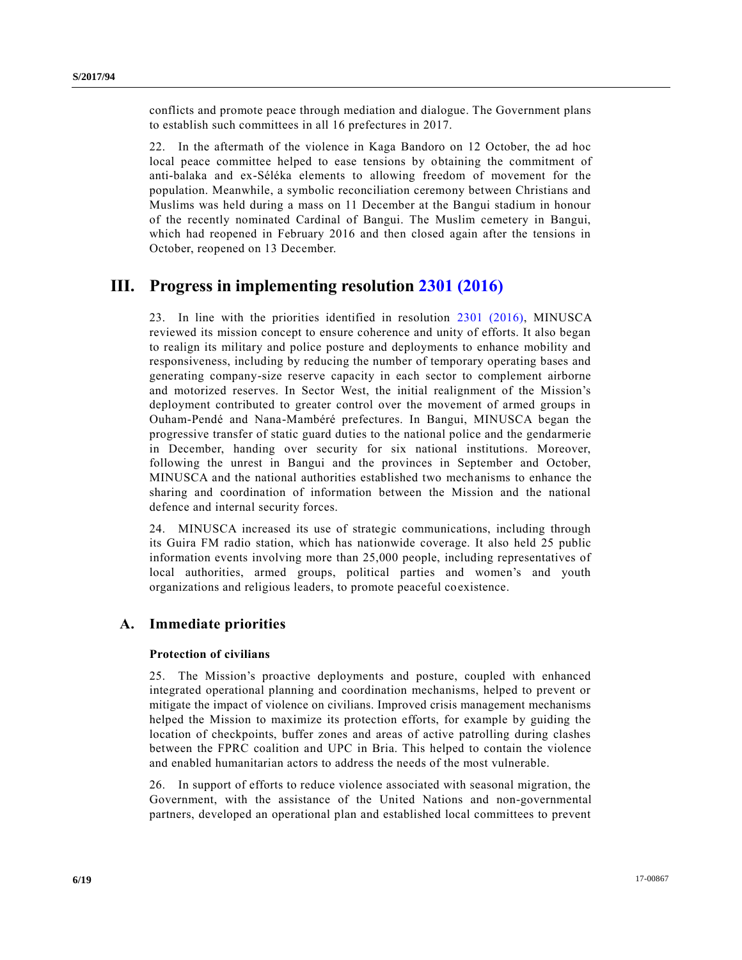conflicts and promote peace through mediation and dialogue. The Government plans to establish such committees in all 16 prefectures in 2017.

22. In the aftermath of the violence in Kaga Bandoro on 12 October, the ad hoc local peace committee helped to ease tensions by obtaining the commitment of anti-balaka and ex-Séléka elements to allowing freedom of movement for the population. Meanwhile, a symbolic reconciliation ceremony between Christians and Muslims was held during a mass on 11 December at the Bangui stadium in honour of the recently nominated Cardinal of Bangui. The Muslim cemetery in Bangui, which had reopened in February 2016 and then closed again after the tensions in October, reopened on 13 December.

## **III. Progress in implementing resolution [2301 \(2016\)](http://undocs.org/S/RES/2301(2016))**

23. In line with the priorities identified in resolution [2301 \(2016\),](http://undocs.org/S/RES/2301(2016)) MINUSCA reviewed its mission concept to ensure coherence and unity of efforts. It also began to realign its military and police posture and deployments to enhance mobility and responsiveness, including by reducing the number of temporary operating bases and generating company-size reserve capacity in each sector to complement airborne and motorized reserves. In Sector West, the initial realignment of the Mission's deployment contributed to greater control over the movement of armed groups in Ouham-Pendé and Nana-Mambéré prefectures. In Bangui, MINUSCA began the progressive transfer of static guard duties to the national police and the gendarmerie in December, handing over security for six national institutions. Moreover, following the unrest in Bangui and the provinces in September and October, MINUSCA and the national authorities established two mechanisms to enhance the sharing and coordination of information between the Mission and the national defence and internal security forces.

24. MINUSCA increased its use of strategic communications, including through its Guira FM radio station, which has nationwide coverage. It also held 25 public information events involving more than 25,000 people, including representatives of local authorities, armed groups, political parties and women's and youth organizations and religious leaders, to promote peaceful coexistence.

### **A. Immediate priorities**

#### **Protection of civilians**

25. The Mission's proactive deployments and posture, coupled with enhanced integrated operational planning and coordination mechanisms, helped to prevent or mitigate the impact of violence on civilians. Improved crisis management mechanisms helped the Mission to maximize its protection efforts, for example by guiding the location of checkpoints, buffer zones and areas of active patrolling during clashes between the FPRC coalition and UPC in Bria. This helped to contain the violence and enabled humanitarian actors to address the needs of the most vulnerable.

26. In support of efforts to reduce violence associated with seasonal migration, the Government, with the assistance of the United Nations and non-governmental partners, developed an operational plan and established local committees to prevent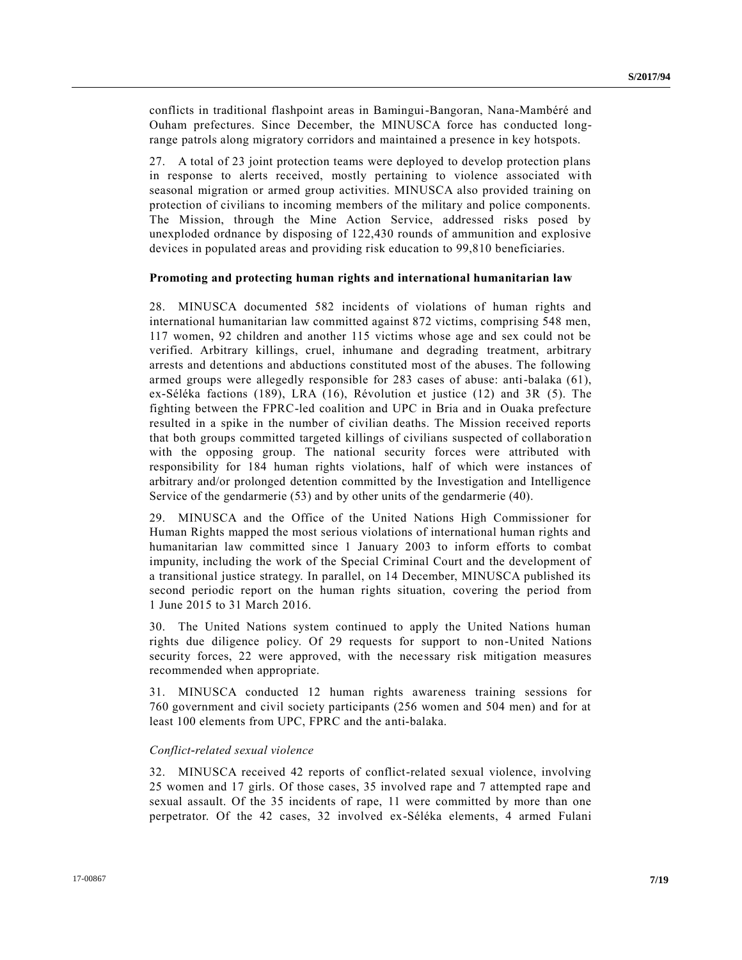conflicts in traditional flashpoint areas in Bamingui-Bangoran, Nana-Mambéré and Ouham prefectures. Since December, the MINUSCA force has conducted longrange patrols along migratory corridors and maintained a presence in key hotspots.

27. A total of 23 joint protection teams were deployed to develop protection plans in response to alerts received, mostly pertaining to violence associated with seasonal migration or armed group activities. MINUSCA also provided training on protection of civilians to incoming members of the military and police components. The Mission, through the Mine Action Service, addressed risks posed by unexploded ordnance by disposing of 122,430 rounds of ammunition and explosive devices in populated areas and providing risk education to 99,810 beneficiaries.

#### **Promoting and protecting human rights and international humanitarian law**

28. MINUSCA documented 582 incidents of violations of human rights and international humanitarian law committed against 872 victims, comprising 548 men, 117 women, 92 children and another 115 victims whose age and sex could not be verified. Arbitrary killings, cruel, inhumane and degrading treatment, arbitrary arrests and detentions and abductions constituted most of the abuses. The following armed groups were allegedly responsible for 283 cases of abuse: anti-balaka (61), ex-Séléka factions (189), LRA (16), Révolution et justice (12) and 3R (5). The fighting between the FPRC-led coalition and UPC in Bria and in Ouaka prefecture resulted in a spike in the number of civilian deaths. The Mission received reports that both groups committed targeted killings of civilians suspected of collaboratio n with the opposing group. The national security forces were attributed with responsibility for 184 human rights violations, half of which were instances of arbitrary and/or prolonged detention committed by the Investigation and Intelligence Service of the gendarmerie (53) and by other units of the gendarmerie (40).

29. MINUSCA and the Office of the United Nations High Commissioner for Human Rights mapped the most serious violations of international human rights and humanitarian law committed since 1 January 2003 to inform efforts to combat impunity, including the work of the Special Criminal Court and the development of a transitional justice strategy. In parallel, on 14 December, MINUSCA published its second periodic report on the human rights situation, covering the period from 1 June 2015 to 31 March 2016.

30. The United Nations system continued to apply the United Nations human rights due diligence policy. Of 29 requests for support to non-United Nations security forces, 22 were approved, with the necessary risk mitigation measures recommended when appropriate.

31. MINUSCA conducted 12 human rights awareness training sessions for 760 government and civil society participants (256 women and 504 men) and for at least 100 elements from UPC, FPRC and the anti-balaka.

#### *Conflict-related sexual violence*

32. MINUSCA received 42 reports of conflict-related sexual violence, involving 25 women and 17 girls. Of those cases, 35 involved rape and 7 attempted rape and sexual assault. Of the 35 incidents of rape, 11 were committed by more than one perpetrator. Of the 42 cases, 32 involved ex-Séléka elements, 4 armed Fulani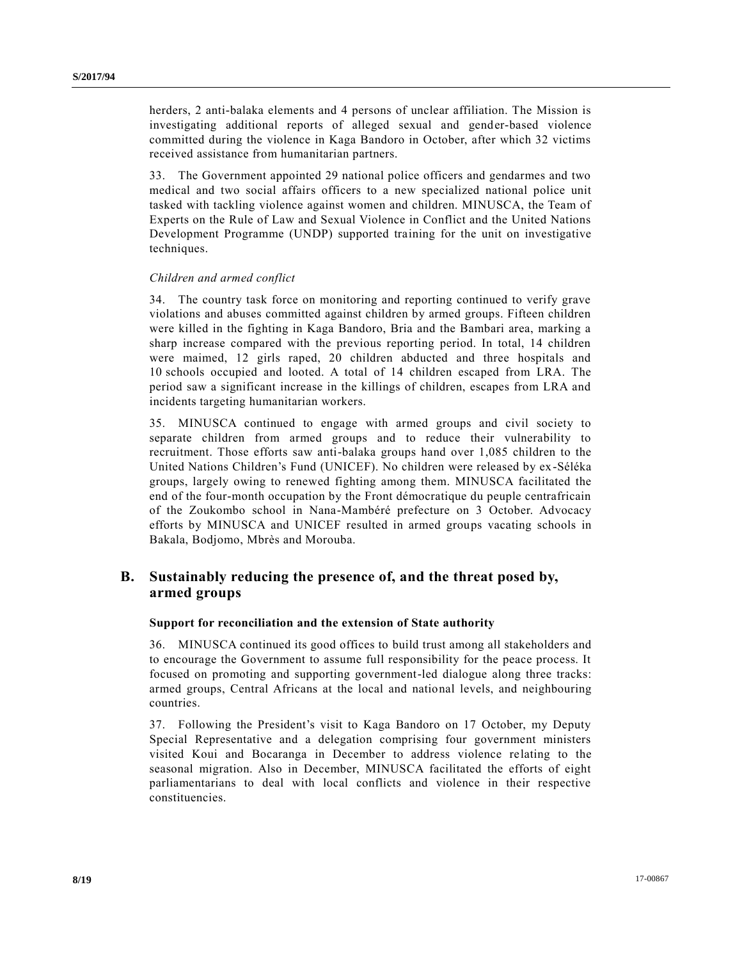herders, 2 anti-balaka elements and 4 persons of unclear affiliation. The Mission is investigating additional reports of alleged sexual and gender-based violence committed during the violence in Kaga Bandoro in October, after which 32 victims received assistance from humanitarian partners.

33. The Government appointed 29 national police officers and gendarmes and two medical and two social affairs officers to a new specialized national police unit tasked with tackling violence against women and children. MINUSCA, the Team of Experts on the Rule of Law and Sexual Violence in Conflict and the United Nations Development Programme (UNDP) supported training for the unit on investigative techniques.

#### *Children and armed conflict*

34. The country task force on monitoring and reporting continued to verify grave violations and abuses committed against children by armed groups. Fifteen children were killed in the fighting in Kaga Bandoro, Bria and the Bambari area, marking a sharp increase compared with the previous reporting period. In total, 14 children were maimed, 12 girls raped, 20 children abducted and three hospitals and 10 schools occupied and looted. A total of 14 children escaped from LRA. The period saw a significant increase in the killings of children, escapes from LRA and incidents targeting humanitarian workers.

35. MINUSCA continued to engage with armed groups and civil society to separate children from armed groups and to reduce their vulnerability to recruitment. Those efforts saw anti-balaka groups hand over 1,085 children to the United Nations Children's Fund (UNICEF). No children were released by ex -Séléka groups, largely owing to renewed fighting among them. MINUSCA facilitated the end of the four-month occupation by the Front démocratique du peuple centrafricain of the Zoukombo school in Nana-Mambéré prefecture on 3 October. Advocacy efforts by MINUSCA and UNICEF resulted in armed groups vacating schools in Bakala, Bodjomo, Mbrès and Morouba.

## **B. Sustainably reducing the presence of, and the threat posed by, armed groups**

#### **Support for reconciliation and the extension of State authority**

36. MINUSCA continued its good offices to build trust among all stakeholders and to encourage the Government to assume full responsibility for the peace process. It focused on promoting and supporting government-led dialogue along three tracks: armed groups, Central Africans at the local and national levels, and neighbouring countries.

37. Following the President's visit to Kaga Bandoro on 17 October, my Deputy Special Representative and a delegation comprising four government ministers visited Koui and Bocaranga in December to address violence relating to the seasonal migration. Also in December, MINUSCA facilitated the efforts of eight parliamentarians to deal with local conflicts and violence in their respective constituencies.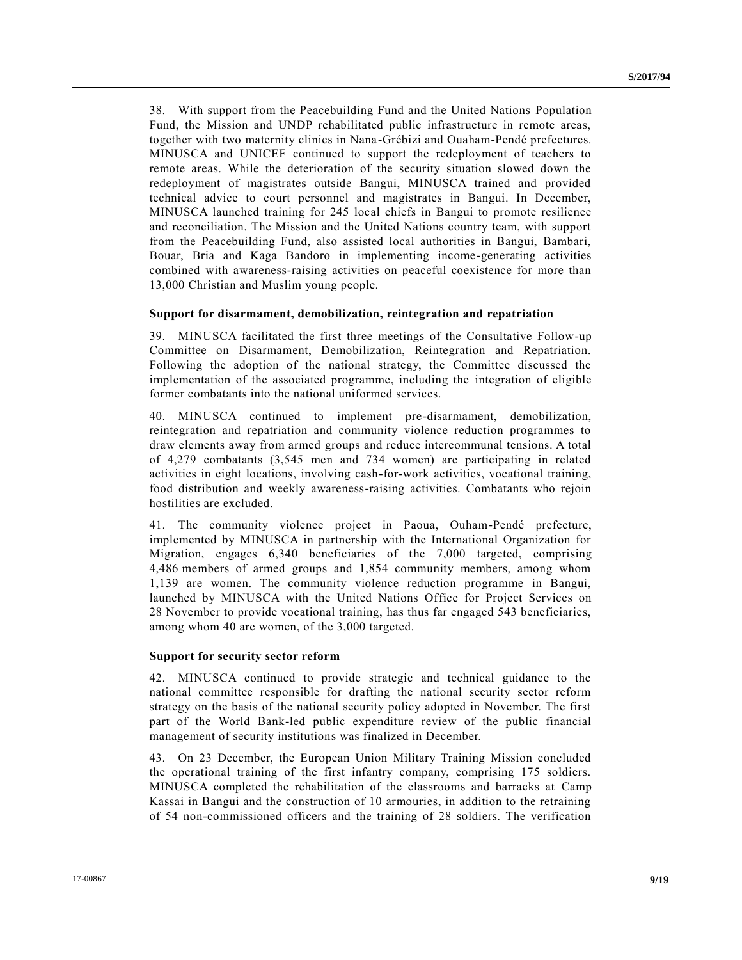38. With support from the Peacebuilding Fund and the United Nations Population Fund, the Mission and UNDP rehabilitated public infrastructure in remote areas, together with two maternity clinics in Nana-Grébizi and Ouaham-Pendé prefectures. MINUSCA and UNICEF continued to support the redeployment of teachers to remote areas. While the deterioration of the security situation slowed down the redeployment of magistrates outside Bangui, MINUSCA trained and provided technical advice to court personnel and magistrates in Bangui. In December, MINUSCA launched training for 245 local chiefs in Bangui to promote resilience and reconciliation. The Mission and the United Nations country team, with support from the Peacebuilding Fund, also assisted local authorities in Bangui, Bambari, Bouar, Bria and Kaga Bandoro in implementing income-generating activities combined with awareness-raising activities on peaceful coexistence for more than 13,000 Christian and Muslim young people.

#### **Support for disarmament, demobilization, reintegration and repatriation**

39. MINUSCA facilitated the first three meetings of the Consultative Follow-up Committee on Disarmament, Demobilization, Reintegration and Repatriation. Following the adoption of the national strategy, the Committee discussed the implementation of the associated programme, including the integration of eligible former combatants into the national uniformed services.

40. MINUSCA continued to implement pre-disarmament, demobilization, reintegration and repatriation and community violence reduction programmes to draw elements away from armed groups and reduce intercommunal tensions. A total of 4,279 combatants (3,545 men and 734 women) are participating in related activities in eight locations, involving cash-for-work activities, vocational training, food distribution and weekly awareness-raising activities. Combatants who rejoin hostilities are excluded.

41. The community violence project in Paoua, Ouham-Pendé prefecture, implemented by MINUSCA in partnership with the International Organization for Migration, engages 6,340 beneficiaries of the 7,000 targeted, comprising 4,486 members of armed groups and 1,854 community members, among whom 1,139 are women. The community violence reduction programme in Bangui, launched by MINUSCA with the United Nations Office for Project Services on 28 November to provide vocational training, has thus far engaged 543 beneficiaries, among whom 40 are women, of the 3,000 targeted.

#### **Support for security sector reform**

42. MINUSCA continued to provide strategic and technical guidance to the national committee responsible for drafting the national security sector reform strategy on the basis of the national security policy adopted in November. The first part of the World Bank-led public expenditure review of the public financial management of security institutions was finalized in December.

43. On 23 December, the European Union Military Training Mission concluded the operational training of the first infantry company, comprising 175 soldiers. MINUSCA completed the rehabilitation of the classrooms and barracks at Camp Kassai in Bangui and the construction of 10 armouries, in addition to the retraining of 54 non-commissioned officers and the training of 28 soldiers. The verification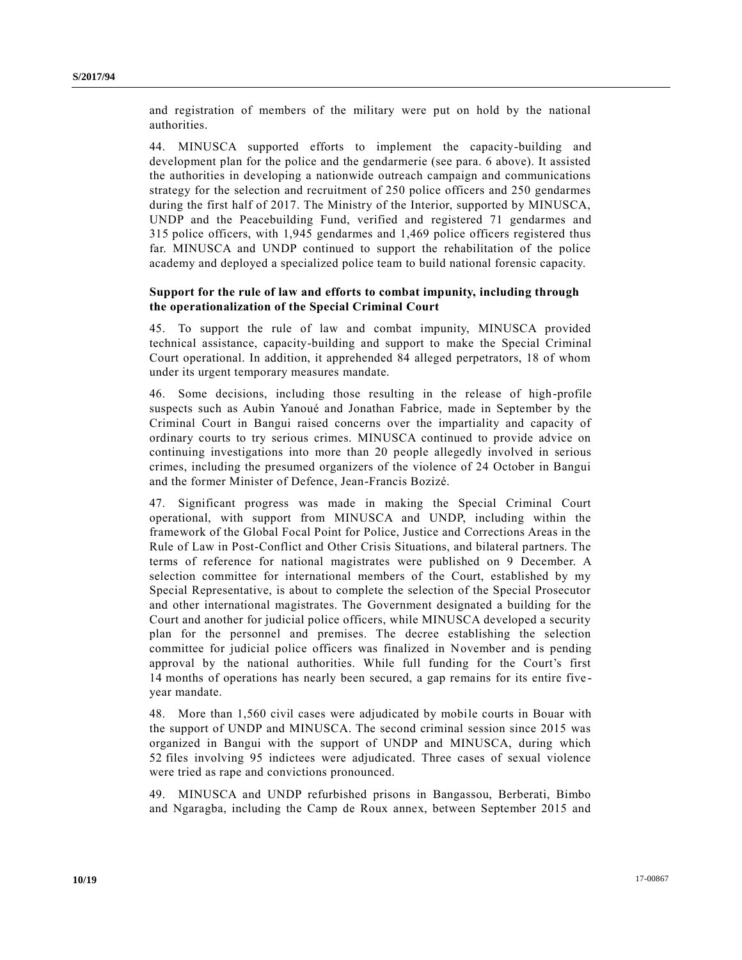and registration of members of the military were put on hold by the national authorities.

44. MINUSCA supported efforts to implement the capacity-building and development plan for the police and the gendarmerie (see para. 6 above). It assisted the authorities in developing a nationwide outreach campaign and communications strategy for the selection and recruitment of 250 police officers and 250 gendarmes during the first half of 2017. The Ministry of the Interior, supported by MINUSCA, UNDP and the Peacebuilding Fund, verified and registered 71 gendarmes and 315 police officers, with 1,945 gendarmes and 1,469 police officers registered thus far. MINUSCA and UNDP continued to support the rehabilitation of the police academy and deployed a specialized police team to build national forensic capacity.

#### **Support for the rule of law and efforts to combat impunity, including through the operationalization of the Special Criminal Court**

45. To support the rule of law and combat impunity, MINUSCA provided technical assistance, capacity-building and support to make the Special Criminal Court operational. In addition, it apprehended 84 alleged perpetrators, 18 of whom under its urgent temporary measures mandate.

46. Some decisions, including those resulting in the release of high-profile suspects such as Aubin Yanoué and Jonathan Fabrice, made in September by the Criminal Court in Bangui raised concerns over the impartiality and capacity of ordinary courts to try serious crimes. MINUSCA continued to provide advice on continuing investigations into more than 20 people allegedly involved in serious crimes, including the presumed organizers of the violence of 24 October in Bangui and the former Minister of Defence, Jean-Francis Bozizé.

47. Significant progress was made in making the Special Criminal Court operational, with support from MINUSCA and UNDP, including within the framework of the Global Focal Point for Police, Justice and Corrections Areas in the Rule of Law in Post-Conflict and Other Crisis Situations, and bilateral partners. The terms of reference for national magistrates were published on 9 December. A selection committee for international members of the Court, established by my Special Representative, is about to complete the selection of the Special Prosecutor and other international magistrates. The Government designated a building for the Court and another for judicial police officers, while MINUSCA developed a security plan for the personnel and premises. The decree establishing the selection committee for judicial police officers was finalized in November and is pending approval by the national authorities. While full funding for the Court's first 14 months of operations has nearly been secured, a gap remains for its entire five year mandate.

48. More than 1,560 civil cases were adjudicated by mobile courts in Bouar with the support of UNDP and MINUSCA. The second criminal session since 2015 was organized in Bangui with the support of UNDP and MINUSCA, during which 52 files involving 95 indictees were adjudicated. Three cases of sexual violence were tried as rape and convictions pronounced.

49. MINUSCA and UNDP refurbished prisons in Bangassou, Berberati, Bimbo and Ngaragba, including the Camp de Roux annex, between September 2015 and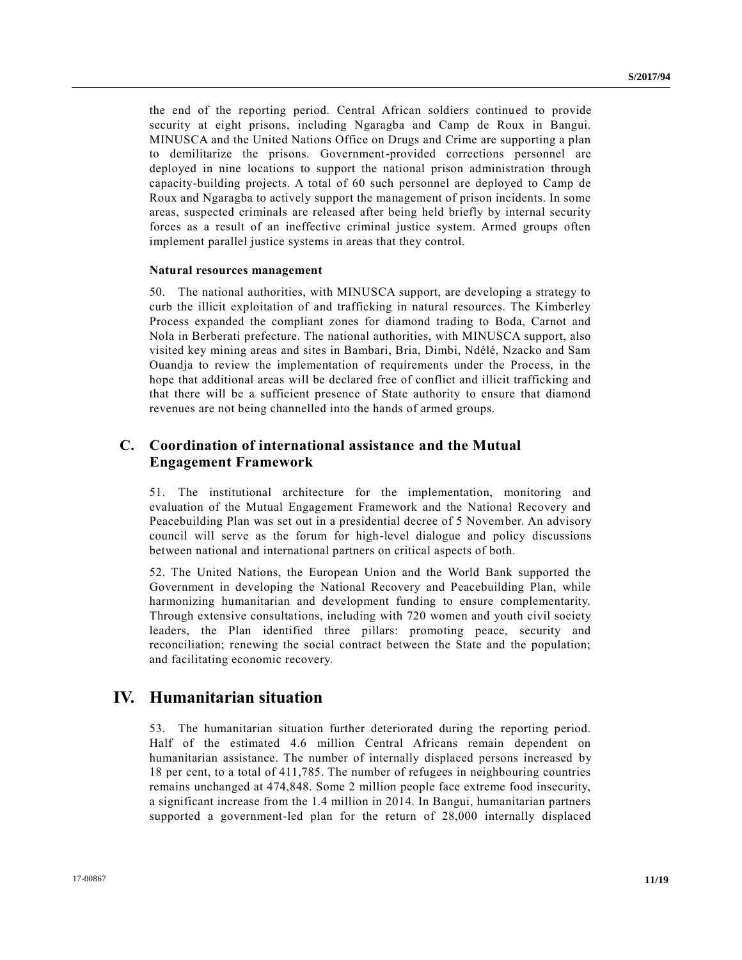the end of the reporting period. Central African soldiers continued to provide security at eight prisons, including Ngaragba and Camp de Roux in Bangui. MINUSCA and the United Nations Office on Drugs and Crime are supporting a plan to demilitarize the prisons. Government-provided corrections personnel are deployed in nine locations to support the national prison administration through capacity-building projects. A total of 60 such personnel are deployed to Camp de Roux and Ngaragba to actively support the management of prison incidents. In some areas, suspected criminals are released after being held briefly by internal security forces as a result of an ineffective criminal justice system. Armed groups often implement parallel justice systems in areas that they control.

#### **Natural resources management**

50. The national authorities, with MINUSCA support, are developing a strategy to curb the illicit exploitation of and trafficking in natural resources. The Kimberley Process expanded the compliant zones for diamond trading to Boda, Carnot and Nola in Berberati prefecture. The national authorities, with MINUSCA support, also visited key mining areas and sites in Bambari, Bria, Dimbi, Ndélé, Nzacko and Sam Ouandja to review the implementation of requirements under the Process, in the hope that additional areas will be declared free of conflict and illicit trafficking and that there will be a sufficient presence of State authority to ensure that diamond revenues are not being channelled into the hands of armed groups.

### **C. Coordination of international assistance and the Mutual Engagement Framework**

51. The institutional architecture for the implementation, monitoring and evaluation of the Mutual Engagement Framework and the National Recovery and Peacebuilding Plan was set out in a presidential decree of 5 November. An advisory council will serve as the forum for high-level dialogue and policy discussions between national and international partners on critical aspects of both.

52. The United Nations, the European Union and the World Bank supported the Government in developing the National Recovery and Peacebuilding Plan, while harmonizing humanitarian and development funding to ensure complementarity. Through extensive consultations, including with 720 women and youth civil society leaders, the Plan identified three pillars: promoting peace, security and reconciliation; renewing the social contract between the State and the population; and facilitating economic recovery.

## **IV. Humanitarian situation**

53. The humanitarian situation further deteriorated during the reporting period. Half of the estimated 4.6 million Central Africans remain dependent on humanitarian assistance. The number of internally displaced persons increased by 18 per cent, to a total of 411,785. The number of refugees in neighbouring countries remains unchanged at 474,848. Some 2 million people face extreme food insecurity, a significant increase from the 1.4 million in 2014. In Bangui, humanitarian partners supported a government-led plan for the return of 28,000 internally displaced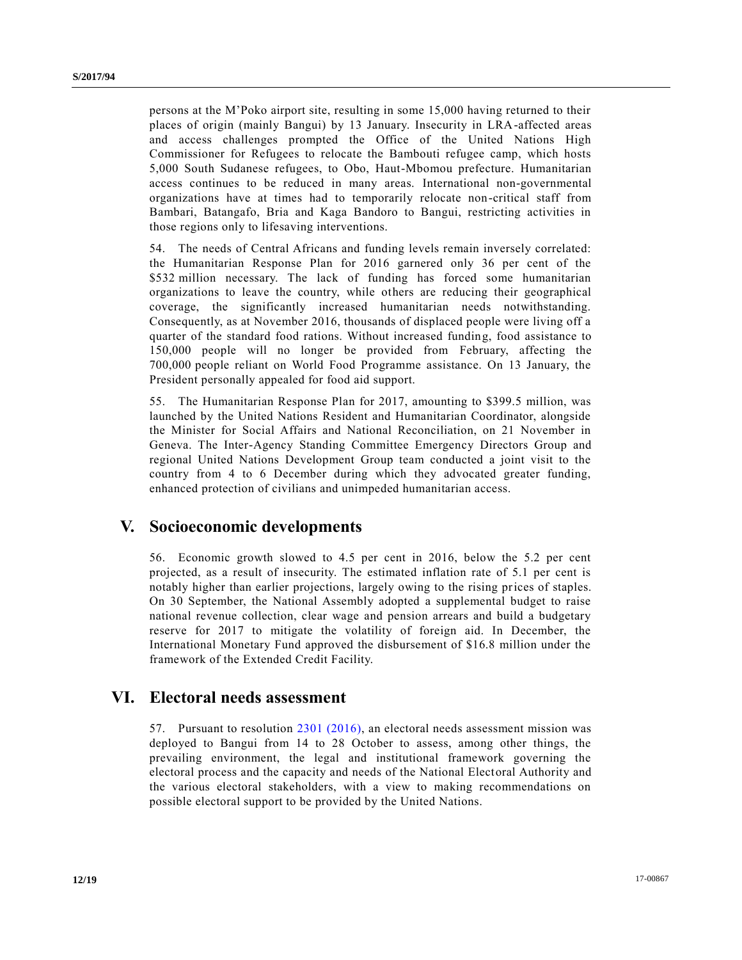persons at the M'Poko airport site, resulting in some 15,000 having returned to their places of origin (mainly Bangui) by 13 January. Insecurity in LRA-affected areas and access challenges prompted the Office of the United Nations High Commissioner for Refugees to relocate the Bambouti refugee camp, which hosts 5,000 South Sudanese refugees, to Obo, Haut-Mbomou prefecture. Humanitarian access continues to be reduced in many areas. International non-governmental organizations have at times had to temporarily relocate non-critical staff from Bambari, Batangafo, Bria and Kaga Bandoro to Bangui, restricting activities in those regions only to lifesaving interventions.

54. The needs of Central Africans and funding levels remain inversely correlated: the Humanitarian Response Plan for 2016 garnered only 36 per cent of the \$532 million necessary. The lack of funding has forced some humanitarian organizations to leave the country, while others are reducing their geographical coverage, the significantly increased humanitarian needs notwithstanding. Consequently, as at November 2016, thousands of displaced people were living off a quarter of the standard food rations. Without increased funding, food assistance to 150,000 people will no longer be provided from February, affecting the 700,000 people reliant on World Food Programme assistance. On 13 January, the President personally appealed for food aid support.

55. The Humanitarian Response Plan for 2017, amounting to \$399.5 million, was launched by the United Nations Resident and Humanitarian Coordinator, alongside the Minister for Social Affairs and National Reconciliation, on 21 November in Geneva. The Inter-Agency Standing Committee Emergency Directors Group and regional United Nations Development Group team conducted a joint visit to the country from 4 to 6 December during which they advocated greater funding, enhanced protection of civilians and unimpeded humanitarian access.

## **V. Socioeconomic developments**

56. Economic growth slowed to 4.5 per cent in 2016, below the 5.2 per cent projected, as a result of insecurity. The estimated inflation rate of 5.1 per cent is notably higher than earlier projections, largely owing to the rising prices of staples. On 30 September, the National Assembly adopted a supplemental budget to raise national revenue collection, clear wage and pension arrears and build a budgetary reserve for 2017 to mitigate the volatility of foreign aid. In December, the International Monetary Fund approved the disbursement of \$16.8 million under the framework of the Extended Credit Facility.

## **VI. Electoral needs assessment**

57. Pursuant to resolution [2301 \(2016\),](http://undocs.org/S/RES/2301(2016)) an electoral needs assessment mission was deployed to Bangui from 14 to 28 October to assess, among other things, the prevailing environment, the legal and institutional framework governing the electoral process and the capacity and needs of the National Electoral Authority and the various electoral stakeholders, with a view to making recommendations on possible electoral support to be provided by the United Nations.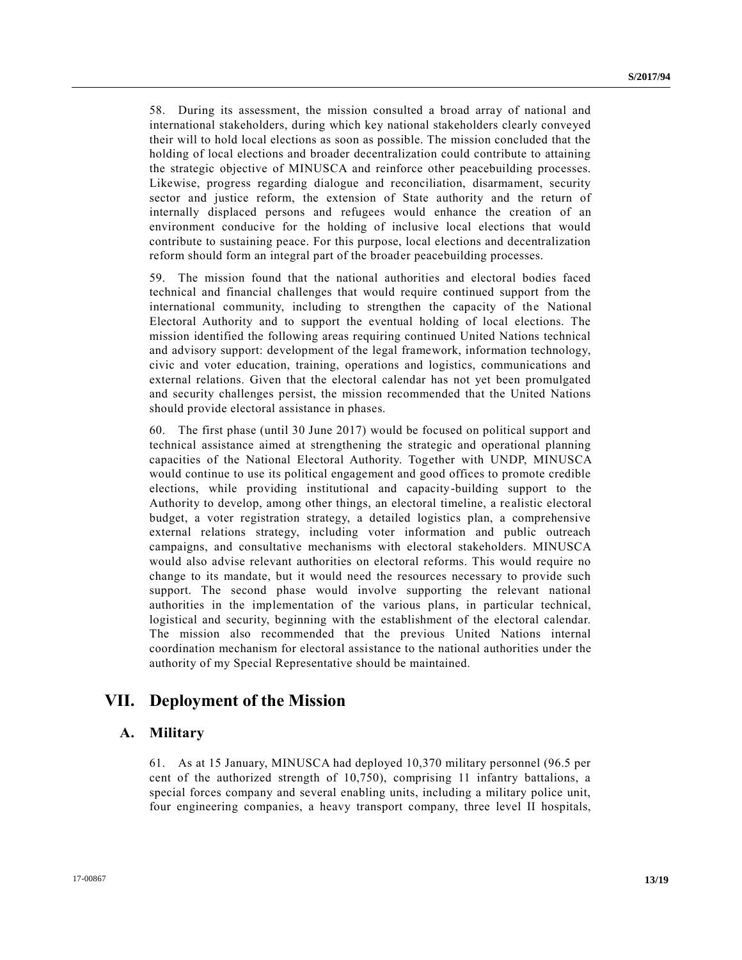58. During its assessment, the mission consulted a broad array of national and international stakeholders, during which key national stakeholders clearly conveyed their will to hold local elections as soon as possible. The mission concluded that the holding of local elections and broader decentralization could contribute to attaining the strategic objective of MINUSCA and reinforce other peacebuilding processes. Likewise, progress regarding dialogue and reconciliation, disarmament, security sector and justice reform, the extension of State authority and the return of internally displaced persons and refugees would enhance the creation of an environment conducive for the holding of inclusive local elections that would contribute to sustaining peace. For this purpose, local elections and decentralization reform should form an integral part of the broader peacebuilding processes.

59. The mission found that the national authorities and electoral bodies faced technical and financial challenges that would require continued support from the international community, including to strengthen the capacity of the National Electoral Authority and to support the eventual holding of local elections. The mission identified the following areas requiring continued United Nations technical and advisory support: development of the legal framework, information technology, civic and voter education, training, operations and logistics, communications and external relations. Given that the electoral calendar has not yet been promulgated and security challenges persist, the mission recommended that the United Nations should provide electoral assistance in phases.

60. The first phase (until 30 June 2017) would be focused on political support and technical assistance aimed at strengthening the strategic and operational planning capacities of the National Electoral Authority. Together with UNDP, MINUSCA would continue to use its political engagement and good offices to promote credible elections, while providing institutional and capacity-building support to the Authority to develop, among other things, an electoral timeline, a re alistic electoral budget, a voter registration strategy, a detailed logistics plan, a comprehensive external relations strategy, including voter information and public outreach campaigns, and consultative mechanisms with electoral stakeholders. MINUSCA would also advise relevant authorities on electoral reforms. This would require no change to its mandate, but it would need the resources necessary to provide such support. The second phase would involve supporting the relevant national authorities in the implementation of the various plans, in particular technical, logistical and security, beginning with the establishment of the electoral calendar. The mission also recommended that the previous United Nations internal coordination mechanism for electoral assistance to the national authorities under the authority of my Special Representative should be maintained.

# **VII. Deployment of the Mission**

### **A. Military**

61. As at 15 January, MINUSCA had deployed 10,370 military personnel (96.5 per cent of the authorized strength of 10,750), comprising 11 infantry battalions, a special forces company and several enabling units, including a military police unit, four engineering companies, a heavy transport company, three level II hospitals,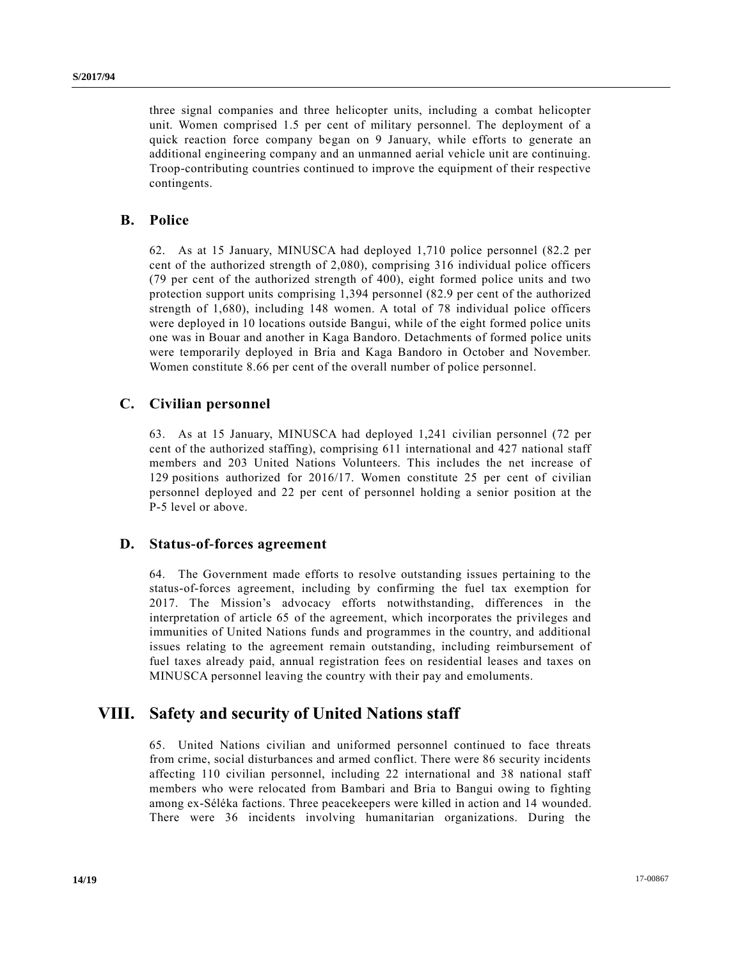three signal companies and three helicopter units, including a combat helicopter unit. Women comprised 1.5 per cent of military personnel. The deployment of a quick reaction force company began on 9 January, while efforts to generate an additional engineering company and an unmanned aerial vehicle unit are continuing. Troop-contributing countries continued to improve the equipment of their respective contingents.

### **B. Police**

62. As at 15 January, MINUSCA had deployed 1,710 police personnel (82.2 per cent of the authorized strength of 2,080), comprising 316 individual police officers (79 per cent of the authorized strength of 400), eight formed police units and two protection support units comprising 1,394 personnel (82.9 per cent of the authorized strength of 1,680), including 148 women. A total of 78 individual police officers were deployed in 10 locations outside Bangui, while of the eight formed police units one was in Bouar and another in Kaga Bandoro. Detachments of formed police units were temporarily deployed in Bria and Kaga Bandoro in October and November. Women constitute 8.66 per cent of the overall number of police personnel.

### **C. Civilian personnel**

63. As at 15 January, MINUSCA had deployed 1,241 civilian personnel (72 per cent of the authorized staffing), comprising 611 international and 427 national staff members and 203 United Nations Volunteers. This includes the net increase of 129 positions authorized for 2016/17. Women constitute 25 per cent of civilian personnel deployed and 22 per cent of personnel holding a senior position at the P-5 level or above.

### **D. Status-of-forces agreement**

64. The Government made efforts to resolve outstanding issues pertaining to the status-of-forces agreement, including by confirming the fuel tax exemption for 2017. The Mission's advocacy efforts notwithstanding, differences in the interpretation of article 65 of the agreement, which incorporates the privileges and immunities of United Nations funds and programmes in the country, and additional issues relating to the agreement remain outstanding, including reimbursement of fuel taxes already paid, annual registration fees on residential leases and taxes on MINUSCA personnel leaving the country with their pay and emoluments.

## **VIII. Safety and security of United Nations staff**

65. United Nations civilian and uniformed personnel continued to face threats from crime, social disturbances and armed conflict. There were 86 security incidents affecting 110 civilian personnel, including 22 international and 38 national staff members who were relocated from Bambari and Bria to Bangui owing to fighting among ex-Séléka factions. Three peacekeepers were killed in action and 14 wounded. There were 36 incidents involving humanitarian organizations. During the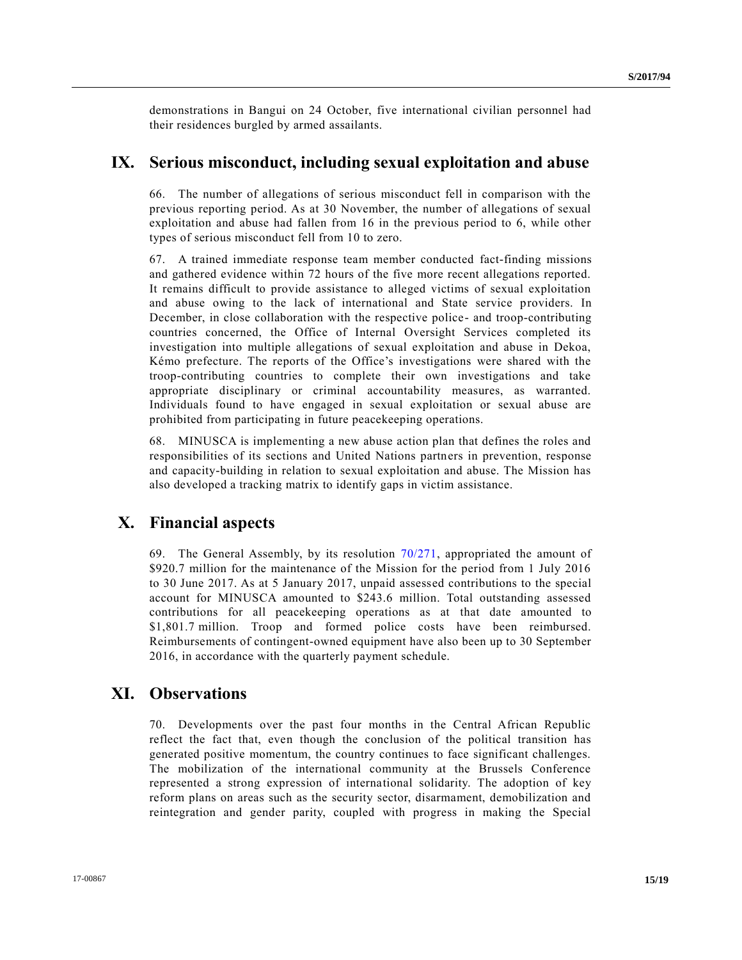demonstrations in Bangui on 24 October, five international civilian personnel had their residences burgled by armed assailants.

## **IX. Serious misconduct, including sexual exploitation and abuse**

66. The number of allegations of serious misconduct fell in comparison with the previous reporting period. As at 30 November, the number of allegations of sexual exploitation and abuse had fallen from 16 in the previous period to 6, while other types of serious misconduct fell from 10 to zero.

67. A trained immediate response team member conducted fact-finding missions and gathered evidence within 72 hours of the five more recent allegations reported. It remains difficult to provide assistance to alleged victims of sexual exploitation and abuse owing to the lack of international and State service providers. In December, in close collaboration with the respective police- and troop-contributing countries concerned, the Office of Internal Oversight Services completed its investigation into multiple allegations of sexual exploitation and abuse in Dekoa, Kémo prefecture. The reports of the Office's investigations were shared with the troop-contributing countries to complete their own investigations and take appropriate disciplinary or criminal accountability measures, as warranted. Individuals found to have engaged in sexual exploitation or sexual abuse are prohibited from participating in future peacekeeping operations.

68. MINUSCA is implementing a new abuse action plan that defines the roles and responsibilities of its sections and United Nations partners in prevention, response and capacity-building in relation to sexual exploitation and abuse. The Mission has also developed a tracking matrix to identify gaps in victim assistance.

## **X. Financial aspects**

69. The General Assembly, by its resolution [70/271,](http://undocs.org/A/RES/70/271) appropriated the amount of \$920.7 million for the maintenance of the Mission for the period from 1 July 2016 to 30 June 2017. As at 5 January 2017, unpaid assessed contributions to the special account for MINUSCA amounted to \$243.6 million. Total outstanding assessed contributions for all peacekeeping operations as at that date amounted to \$1,801.7 million. Troop and formed police costs have been reimbursed. Reimbursements of contingent-owned equipment have also been up to 30 September 2016, in accordance with the quarterly payment schedule.

## **XI. Observations**

70. Developments over the past four months in the Central African Republic reflect the fact that, even though the conclusion of the political transition has generated positive momentum, the country continues to face significant challenges. The mobilization of the international community at the Brussels Conference represented a strong expression of international solidarity. The adoption of key reform plans on areas such as the security sector, disarmament, demobilization and reintegration and gender parity, coupled with progress in making the Special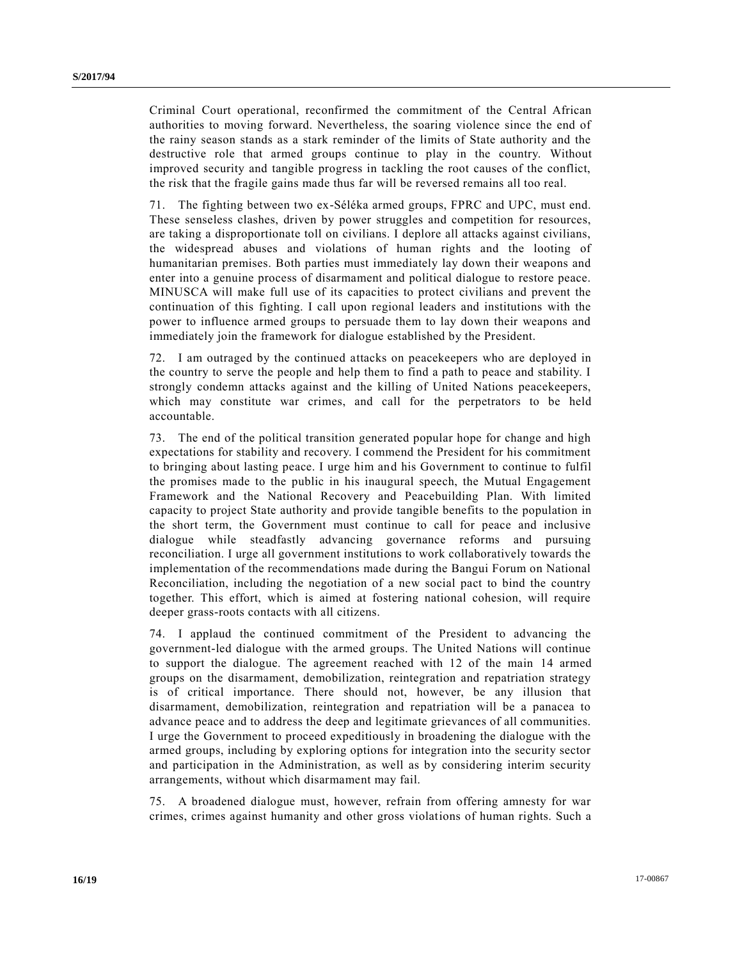Criminal Court operational, reconfirmed the commitment of the Central African authorities to moving forward. Nevertheless, the soaring violence since the end of the rainy season stands as a stark reminder of the limits of State authority and the destructive role that armed groups continue to play in the country. Without improved security and tangible progress in tackling the root causes of the conflict, the risk that the fragile gains made thus far will be reversed remains all too real.

71. The fighting between two ex-Séléka armed groups, FPRC and UPC, must end. These senseless clashes, driven by power struggles and competition for resources, are taking a disproportionate toll on civilians. I deplore all attacks against civilians, the widespread abuses and violations of human rights and the looting of humanitarian premises. Both parties must immediately lay down their weapons and enter into a genuine process of disarmament and political dialogue to restore peace. MINUSCA will make full use of its capacities to protect civilians and prevent the continuation of this fighting. I call upon regional leaders and institutions with the power to influence armed groups to persuade them to lay down their weapons and immediately join the framework for dialogue established by the President.

72. I am outraged by the continued attacks on peacekeepers who are deployed in the country to serve the people and help them to find a path to peace and stability. I strongly condemn attacks against and the killing of United Nations peacekeepers, which may constitute war crimes, and call for the perpetrators to be held accountable.

73. The end of the political transition generated popular hope for change and high expectations for stability and recovery. I commend the President for his commitment to bringing about lasting peace. I urge him and his Government to continue to fulfil the promises made to the public in his inaugural speech, the Mutual Engagement Framework and the National Recovery and Peacebuilding Plan. With limited capacity to project State authority and provide tangible benefits to the population in the short term, the Government must continue to call for peace and inclusive dialogue while steadfastly advancing governance reforms and pursuing reconciliation. I urge all government institutions to work collaboratively towards the implementation of the recommendations made during the Bangui Forum on National Reconciliation, including the negotiation of a new social pact to bind the country together. This effort, which is aimed at fostering national cohesion, will require deeper grass-roots contacts with all citizens.

74. I applaud the continued commitment of the President to advancing the government-led dialogue with the armed groups. The United Nations will continue to support the dialogue. The agreement reached with 12 of the main 14 armed groups on the disarmament, demobilization, reintegration and repatriation strategy is of critical importance. There should not, however, be any illusion that disarmament, demobilization, reintegration and repatriation will be a panacea to advance peace and to address the deep and legitimate grievances of all communities. I urge the Government to proceed expeditiously in broadening the dialogue with the armed groups, including by exploring options for integration into the security sector and participation in the Administration, as well as by considering interim security arrangements, without which disarmament may fail.

75. A broadened dialogue must, however, refrain from offering amnesty for war crimes, crimes against humanity and other gross violations of human rights. Such a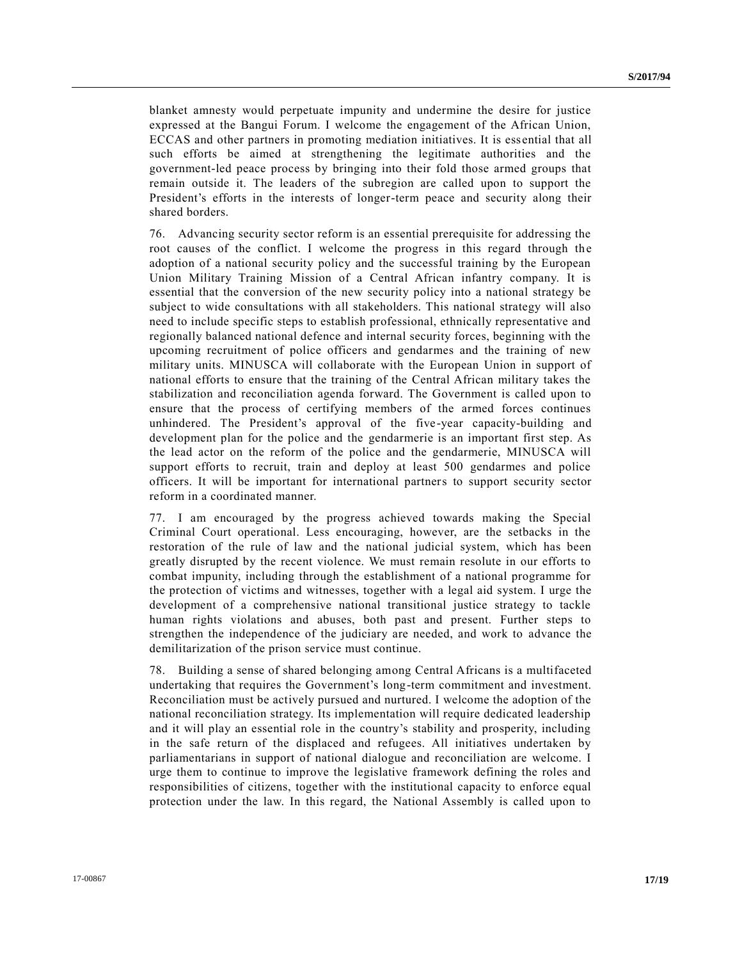blanket amnesty would perpetuate impunity and undermine the desire for justice expressed at the Bangui Forum. I welcome the engagement of the African Union, ECCAS and other partners in promoting mediation initiatives. It is ess ential that all such efforts be aimed at strengthening the legitimate authorities and the government-led peace process by bringing into their fold those armed groups that remain outside it. The leaders of the subregion are called upon to support the President's efforts in the interests of longer-term peace and security along their shared borders.

76. Advancing security sector reform is an essential prerequisite for addressing the root causes of the conflict. I welcome the progress in this regard through the adoption of a national security policy and the successful training by the European Union Military Training Mission of a Central African infantry company. It is essential that the conversion of the new security policy into a national strategy be subject to wide consultations with all stakeholders. This national strategy will also need to include specific steps to establish professional, ethnically representative and regionally balanced national defence and internal security forces, beginning with the upcoming recruitment of police officers and gendarmes and the training of new military units. MINUSCA will collaborate with the European Union in support of national efforts to ensure that the training of the Central African military takes the stabilization and reconciliation agenda forward. The Government is called upon to ensure that the process of certifying members of the armed forces continues unhindered. The President's approval of the five-year capacity-building and development plan for the police and the gendarmerie is an important first step. As the lead actor on the reform of the police and the gendarmerie, MINUSCA will support efforts to recruit, train and deploy at least 500 gendarmes and police officers. It will be important for international partners to support security sector reform in a coordinated manner.

77. I am encouraged by the progress achieved towards making the Special Criminal Court operational. Less encouraging, however, are the setbacks in the restoration of the rule of law and the national judicial system, which has been greatly disrupted by the recent violence. We must remain resolute in our efforts to combat impunity, including through the establishment of a national programme for the protection of victims and witnesses, together with a legal aid system. I urge the development of a comprehensive national transitional justice strategy to tackle human rights violations and abuses, both past and present. Further steps to strengthen the independence of the judiciary are needed, and work to advance the demilitarization of the prison service must continue.

78. Building a sense of shared belonging among Central Africans is a multifaceted undertaking that requires the Government's long-term commitment and investment. Reconciliation must be actively pursued and nurtured. I welcome the adoption of the national reconciliation strategy. Its implementation will require dedicated leadership and it will play an essential role in the country's stability and prosperity, including in the safe return of the displaced and refugees. All initiatives undertaken by parliamentarians in support of national dialogue and reconciliation are welcome. I urge them to continue to improve the legislative framework defining the roles and responsibilities of citizens, together with the institutional capacity to enforce equal protection under the law. In this regard, the National Assembly is called upon to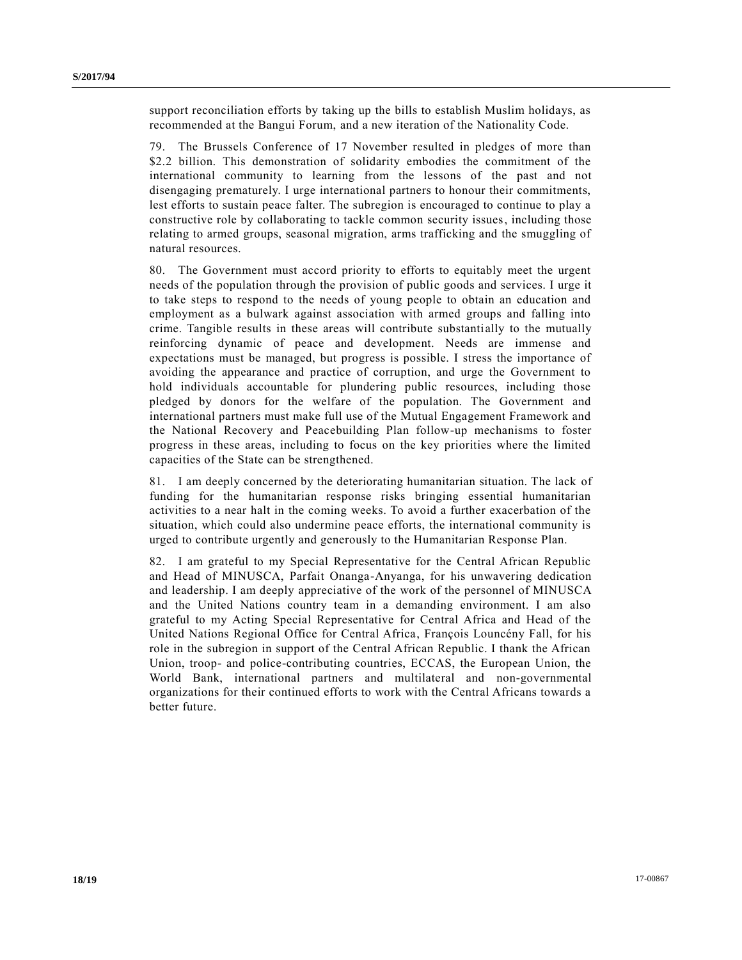support reconciliation efforts by taking up the bills to establish Muslim holidays, as recommended at the Bangui Forum, and a new iteration of the Nationality Code.

79. The Brussels Conference of 17 November resulted in pledges of more than \$2.2 billion. This demonstration of solidarity embodies the commitment of the international community to learning from the lessons of the past and not disengaging prematurely. I urge international partners to honour their commitments, lest efforts to sustain peace falter. The subregion is encouraged to continue to play a constructive role by collaborating to tackle common security issues, including those relating to armed groups, seasonal migration, arms trafficking and the smuggling of natural resources.

80. The Government must accord priority to efforts to equitably meet the urgent needs of the population through the provision of public goods and services. I urge it to take steps to respond to the needs of young people to obtain an education and employment as a bulwark against association with armed groups and falling into crime. Tangible results in these areas will contribute substantially to the mutually reinforcing dynamic of peace and development. Needs are immense and expectations must be managed, but progress is possible. I stress the importance of avoiding the appearance and practice of corruption, and urge the Government to hold individuals accountable for plundering public resources, including those pledged by donors for the welfare of the population. The Government and international partners must make full use of the Mutual Engagement Framework and the National Recovery and Peacebuilding Plan follow-up mechanisms to foster progress in these areas, including to focus on the key priorities where the limited capacities of the State can be strengthened.

81. I am deeply concerned by the deteriorating humanitarian situation. The lack of funding for the humanitarian response risks bringing essential humanitarian activities to a near halt in the coming weeks. To avoid a further exacerbation of the situation, which could also undermine peace efforts, the international community is urged to contribute urgently and generously to the Humanitarian Response Plan.

82. I am grateful to my Special Representative for the Central African Republic and Head of MINUSCA, Parfait Onanga-Anyanga, for his unwavering dedication and leadership. I am deeply appreciative of the work of the personnel of MINUSCA and the United Nations country team in a demanding environment. I am also grateful to my Acting Special Representative for Central Africa and Head of the United Nations Regional Office for Central Africa, François Louncény Fall, for his role in the subregion in support of the Central African Republic. I thank the African Union, troop- and police-contributing countries, ECCAS, the European Union, the World Bank, international partners and multilateral and non-governmental organizations for their continued efforts to work with the Central Africans towards a better future.